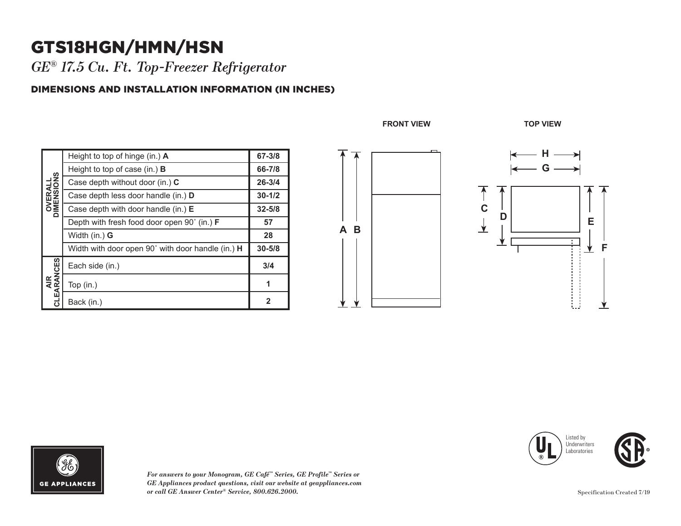## GTS18HGN/HMN/HSN **B**

*GE® 17.5 Cu. Ft. Top-Freezer Refrigerator* 

## DIMENSIONS AND INSTALLATION INFORMATION (IN INCHES)

| <b>OVERALL</b><br>DIMENSIONS | Height to top of hinge (in.) $\bm{A}$             | 67-3/8      |
|------------------------------|---------------------------------------------------|-------------|
|                              | Height to top of case (in.) $\bf{B}$              | 66-7/8      |
|                              | Case depth without door (in.) C                   | $26 - 3/4$  |
|                              | Case depth less door handle (in.) D               | $30 - 1/2$  |
|                              | Case depth with door handle (in.) $E$             | $32 - 5/8$  |
|                              | Depth with fresh food door open 90° (in.) F       | 57          |
|                              | Width (in.) G                                     | 28          |
|                              | Width with door open 90° with door handle (in.) H | $30 - 5/8$  |
| AIR<br>CLEARANCES            | Each side (in.)                                   | 3/4         |
|                              | Top $(in.)$                                       | 1           |
|                              | Back (in.)                                        | $\mathbf 2$ |

**FRONT VIEW TOP VIEW**

**A**

**B**







*For answers to your Monogram, GE Café™ Series, GE Profile™ Series or GE Appliances product questions, visit our website at geappliances.com or call GE Answer Center® Service, 800.626.2000.*